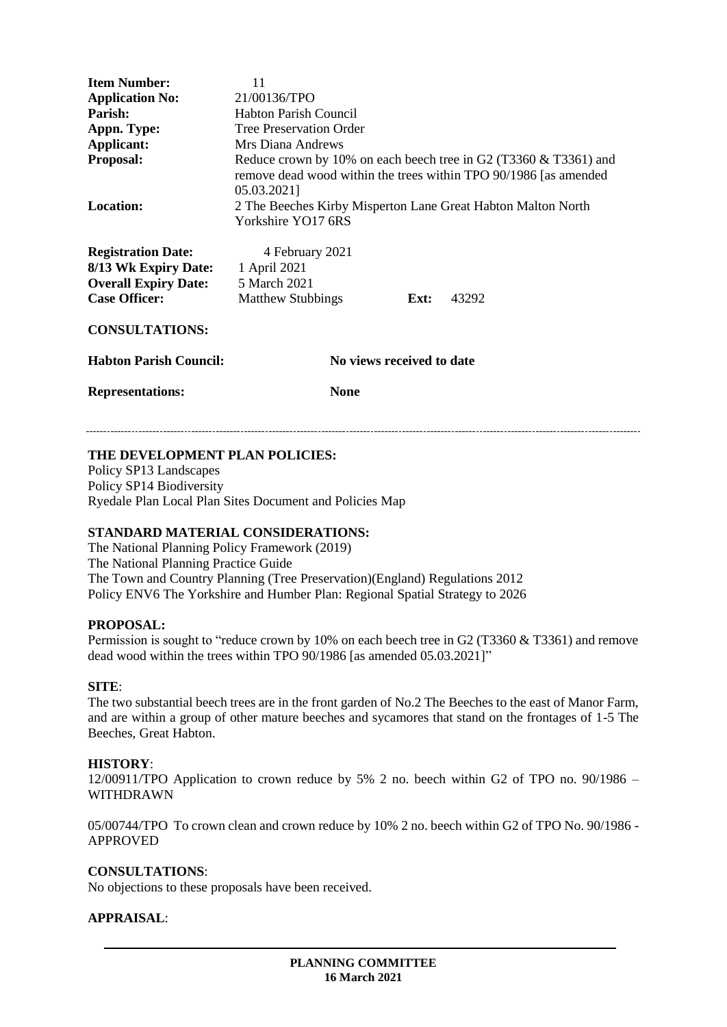| <b>Item Number:</b><br><b>Application No:</b><br>Parish:<br>Appn. Type:<br><b>Applicant:</b><br><b>Proposal:</b> | 11<br>21/00136/TPO<br><b>Habton Parish Council</b><br><b>Tree Preservation Order</b><br>Mrs Diana Andrews<br>Reduce crown by 10% on each beech tree in G2 (T3360 $&$ T3361) and<br>remove dead wood within the trees within TPO 90/1986 [as amended<br>05.03.2021] |
|------------------------------------------------------------------------------------------------------------------|--------------------------------------------------------------------------------------------------------------------------------------------------------------------------------------------------------------------------------------------------------------------|
| <b>Location:</b>                                                                                                 | 2 The Beeches Kirby Misperton Lane Great Habton Malton North<br>Yorkshire YO17 6RS                                                                                                                                                                                 |
| <b>Registration Date:</b><br>8/13 Wk Expiry Date:<br><b>Overall Expiry Date:</b><br><b>Case Officer:</b>         | 4 February 2021<br>1 April 2021<br>5 March 2021<br><b>Matthew Stubbings</b><br>43292<br>Ext:                                                                                                                                                                       |
| <b>CONSULTATIONS:</b>                                                                                            |                                                                                                                                                                                                                                                                    |
| <b>Habton Parish Council:</b>                                                                                    | No views received to date                                                                                                                                                                                                                                          |
| <b>Representations:</b>                                                                                          | <b>None</b>                                                                                                                                                                                                                                                        |

#### **THE DEVELOPMENT PLAN POLICIES:**

Policy SP13 Landscapes Policy SP14 Biodiversity Ryedale Plan Local Plan Sites Document and Policies Map

#### **STANDARD MATERIAL CONSIDERATIONS:**

The National Planning Policy Framework (2019) The National Planning Practice Guide The Town and Country Planning (Tree Preservation)(England) Regulations 2012 Policy ENV6 The Yorkshire and Humber Plan: Regional Spatial Strategy to 2026

#### **PROPOSAL:**

Permission is sought to "reduce crown by 10% on each beech tree in G2 (T3360 & T3361) and remove dead wood within the trees within TPO 90/1986 [as amended 05.03.2021]"

#### **SITE**:

The two substantial beech trees are in the front garden of No.2 The Beeches to the east of Manor Farm, and are within a group of other mature beeches and sycamores that stand on the frontages of 1-5 The Beeches, Great Habton.

#### **HISTORY**:

12/00911/TPO Application to crown reduce by 5% 2 no. beech within G2 of TPO no. 90/1986 – WITHDRAWN

05/00744/TPO To crown clean and crown reduce by 10% 2 no. beech within G2 of TPO No. 90/1986 - APPROVED

#### **CONSULTATIONS**:

No objections to these proposals have been received.

#### **APPRAISAL**: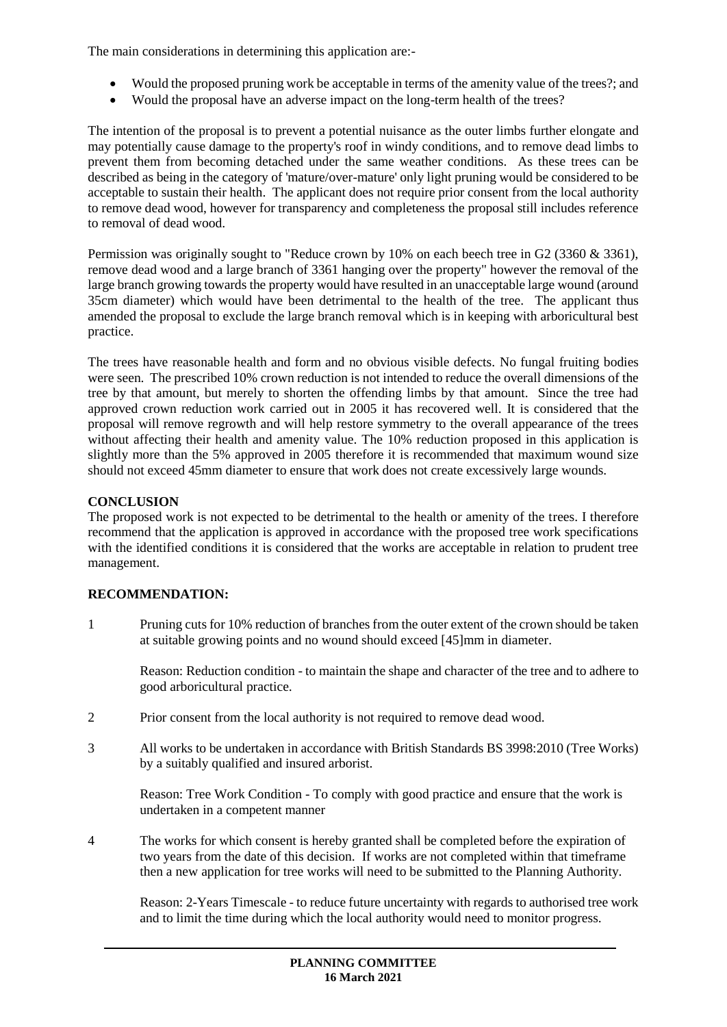The main considerations in determining this application are:-

- Would the proposed pruning work be acceptable in terms of the amenity value of the trees?; and
- Would the proposal have an adverse impact on the long-term health of the trees?

The intention of the proposal is to prevent a potential nuisance as the outer limbs further elongate and may potentially cause damage to the property's roof in windy conditions, and to remove dead limbs to prevent them from becoming detached under the same weather conditions. As these trees can be described as being in the category of 'mature/over-mature' only light pruning would be considered to be acceptable to sustain their health. The applicant does not require prior consent from the local authority to remove dead wood, however for transparency and completeness the proposal still includes reference to removal of dead wood.

Permission was originally sought to "Reduce crown by 10% on each beech tree in G2 (3360 & 3361), remove dead wood and a large branch of 3361 hanging over the property" however the removal of the large branch growing towards the property would have resulted in an unacceptable large wound (around 35cm diameter) which would have been detrimental to the health of the tree. The applicant thus amended the proposal to exclude the large branch removal which is in keeping with arboricultural best practice.

The trees have reasonable health and form and no obvious visible defects. No fungal fruiting bodies were seen. The prescribed 10% crown reduction is not intended to reduce the overall dimensions of the tree by that amount, but merely to shorten the offending limbs by that amount. Since the tree had approved crown reduction work carried out in 2005 it has recovered well. It is considered that the proposal will remove regrowth and will help restore symmetry to the overall appearance of the trees without affecting their health and amenity value. The 10% reduction proposed in this application is slightly more than the 5% approved in 2005 therefore it is recommended that maximum wound size should not exceed 45mm diameter to ensure that work does not create excessively large wounds.

## **CONCLUSION**

The proposed work is not expected to be detrimental to the health or amenity of the trees. I therefore recommend that the application is approved in accordance with the proposed tree work specifications with the identified conditions it is considered that the works are acceptable in relation to prudent tree management.

# **RECOMMENDATION:**

1 Pruning cuts for 10% reduction of branches from the outer extent of the crown should be taken at suitable growing points and no wound should exceed [45]mm in diameter.

Reason: Reduction condition - to maintain the shape and character of the tree and to adhere to good arboricultural practice.

- 2 Prior consent from the local authority is not required to remove dead wood.
- 3 All works to be undertaken in accordance with British Standards BS 3998:2010 (Tree Works) by a suitably qualified and insured arborist.

Reason: Tree Work Condition - To comply with good practice and ensure that the work is undertaken in a competent manner

4 The works for which consent is hereby granted shall be completed before the expiration of two years from the date of this decision. If works are not completed within that timeframe then a new application for tree works will need to be submitted to the Planning Authority.

Reason: 2-Years Timescale - to reduce future uncertainty with regards to authorised tree work and to limit the time during which the local authority would need to monitor progress.